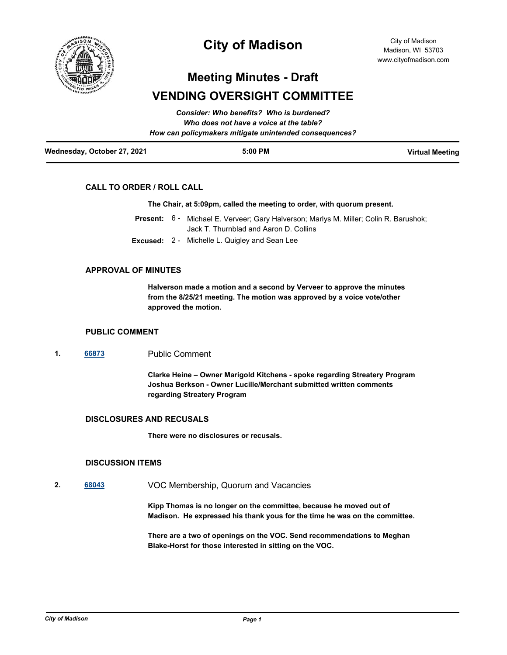

# **City of Madison**

# **Meeting Minutes - Draft VENDING OVERSIGHT COMMITTEE**

| Wednesday, October 27, 2021 | $5:00$ PM                                              | <b>Virtual Meeting</b> |
|-----------------------------|--------------------------------------------------------|------------------------|
|                             | How can policymakers mitigate unintended consequences? |                        |
|                             | Who does not have a voice at the table?                |                        |
|                             | Consider: Who benefits? Who is burdened?               |                        |

# **CALL TO ORDER / ROLL CALL**

### **The Chair, at 5:09pm, called the meeting to order, with quorum present.**

- Present: 6 Michael E. Verveer; Gary Halverson; Marlys M. Miller; Colin R. Barushok; Jack T. Thurnblad and Aaron D. Collins
- **Excused:** 2 Michelle L. Quigley and Sean Lee

# **APPROVAL OF MINUTES**

**Halverson made a motion and a second by Verveer to approve the minutes from the 8/25/21 meeting. The motion was approved by a voice vote/other approved the motion.**

## **PUBLIC COMMENT**

### **1. [66873](http://madison.legistar.com/gateway.aspx?m=l&id=/matter.aspx?key=78913)** Public Comment

**Clarke Heine – Owner Marigold Kitchens - spoke regarding Streatery Program Joshua Berkson - Owner Lucille/Merchant submitted written comments regarding Streatery Program**

# **DISCLOSURES AND RECUSALS**

**There were no disclosures or recusals.**

### **DISCUSSION ITEMS**

**2. [68043](http://madison.legistar.com/gateway.aspx?m=l&id=/matter.aspx?key=79815)** VOC Membership, Quorum and Vacancies

**Kipp Thomas is no longer on the committee, because he moved out of Madison. He expressed his thank yous for the time he was on the committee.** 

**There are a two of openings on the VOC. Send recommendations to Meghan Blake-Horst for those interested in sitting on the VOC.**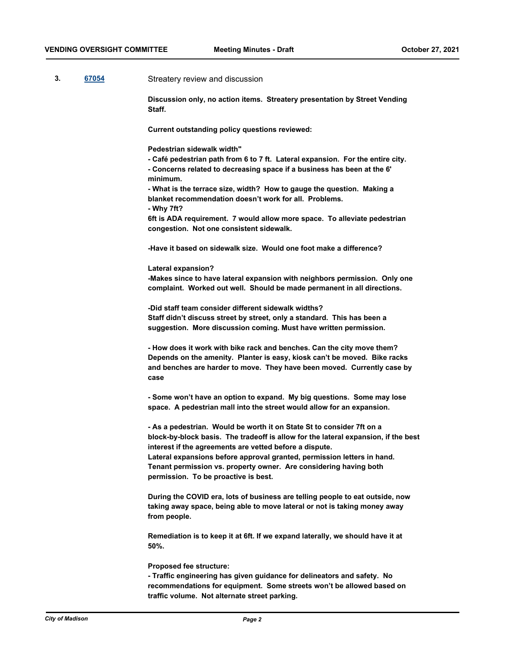## **3. [67054](http://madison.legistar.com/gateway.aspx?m=l&id=/matter.aspx?key=79059)** Streatery review and discussion

**Discussion only, no action items. Streatery presentation by Street Vending Staff.** 

**Current outstanding policy questions reviewed:**

**Pedestrian sidewalk width"**

**- Café pedestrian path from 6 to 7 ft. Lateral expansion. For the entire city.**

**- Concerns related to decreasing space if a business has been at the 6' minimum.** 

**- What is the terrace size, width? How to gauge the question. Making a blanket recommendation doesn't work for all. Problems.**

**- Why 7ft?**

**6ft is ADA requirement. 7 would allow more space. To alleviate pedestrian congestion. Not one consistent sidewalk.** 

**-Have it based on sidewalk size. Would one foot make a difference?**

#### **Lateral expansion?**

**-Makes since to have lateral expansion with neighbors permission. Only one complaint. Worked out well. Should be made permanent in all directions.** 

**-Did staff team consider different sidewalk widths? Staff didn't discuss street by street, only a standard. This has been a suggestion. More discussion coming. Must have written permission.** 

**- How does it work with bike rack and benches. Can the city move them? Depends on the amenity. Planter is easy, kiosk can't be moved. Bike racks and benches are harder to move. They have been moved. Currently case by case**

**- Some won't have an option to expand. My big questions. Some may lose space. A pedestrian mall into the street would allow for an expansion.** 

**- As a pedestrian. Would be worth it on State St to consider 7ft on a block-by-block basis. The tradeoff is allow for the lateral expansion, if the best interest if the agreements are vetted before a dispute. Lateral expansions before approval granted, permission letters in hand. Tenant permission vs. property owner. Are considering having both permission. To be proactive is best.**

**During the COVID era, lots of business are telling people to eat outside, now taking away space, being able to move lateral or not is taking money away from people.** 

**Remediation is to keep it at 6ft. If we expand laterally, we should have it at 50%.**

**Proposed fee structure:**

**- Traffic engineering has given guidance for delineators and safety. No recommendations for equipment. Some streets won't be allowed based on traffic volume. Not alternate street parking.**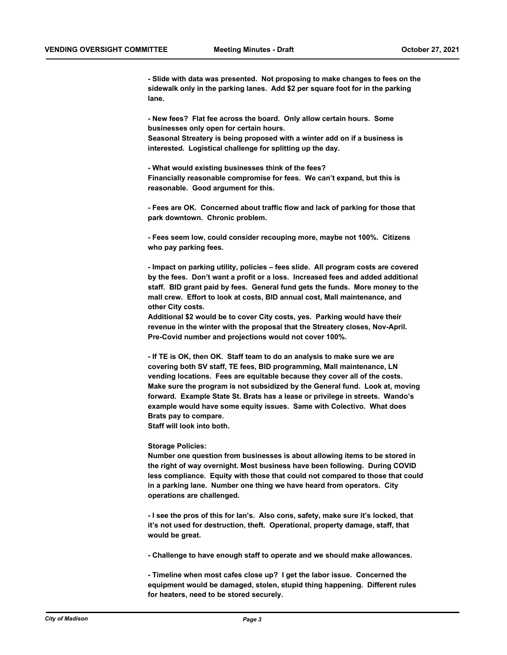**- Slide with data was presented. Not proposing to make changes to fees on the sidewalk only in the parking lanes. Add \$2 per square foot for in the parking lane.** 

**- New fees? Flat fee across the board. Only allow certain hours. Some businesses only open for certain hours. Seasonal Streatery is being proposed with a winter add on if a business is interested. Logistical challenge for splitting up the day.** 

**- What would existing businesses think of the fees? Financially reasonable compromise for fees. We can't expand, but this is reasonable. Good argument for this.**

**- Fees are OK. Concerned about traffic flow and lack of parking for those that park downtown. Chronic problem.** 

**- Fees seem low, could consider recouping more, maybe not 100%. Citizens who pay parking fees.** 

**- Impact on parking utility, policies – fees slide. All program costs are covered by the fees. Don't want a profit or a loss. Increased fees and added additional staff. BID grant paid by fees. General fund gets the funds. More money to the mall crew. Effort to look at costs, BID annual cost, Mall maintenance, and other City costs.** 

**Additional \$2 would be to cover City costs, yes. Parking would have their revenue in the winter with the proposal that the Streatery closes, Nov-April. Pre-Covid number and projections would not cover 100%.** 

**- If TE is OK, then OK. Staff team to do an analysis to make sure we are covering both SV staff, TE fees, BID programming, Mall maintenance, LN vending locations. Fees are equitable because they cover all of the costs. Make sure the program is not subsidized by the General fund. Look at, moving forward. Example State St. Brats has a lease or privilege in streets. Wando's example would have some equity issues. Same with Colectivo. What does Brats pay to compare.** 

**Staff will look into both.**

#### **Storage Policies:**

**Number one question from businesses is about allowing items to be stored in the right of way overnight. Most business have been following. During COVID less compliance. Equity with those that could not compared to those that could in a parking lane. Number one thing we have heard from operators. City operations are challenged.** 

**- I see the pros of this for Ian's. Also cons, safety, make sure it's locked, that it's not used for destruction, theft. Operational, property damage, staff, that would be great.** 

**- Challenge to have enough staff to operate and we should make allowances.** 

**- Timeline when most cafes close up? I get the labor issue. Concerned the equipment would be damaged, stolen, stupid thing happening. Different rules for heaters, need to be stored securely.**